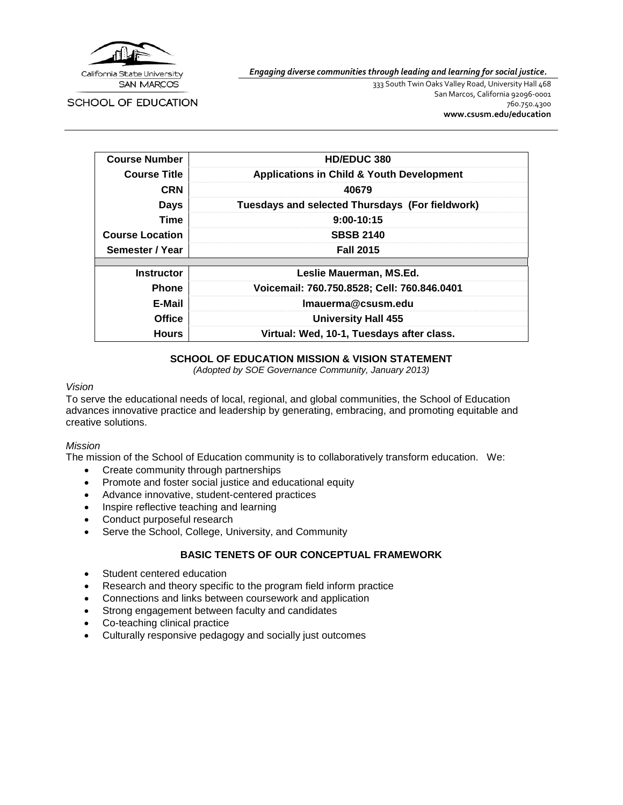

*Engaging diverse communities through leading and learning for social justice.*

**SCHOOL OF EDUCATION** 

333 South Twin Oaks Valley Road, University Hall 468 San Marcos, California 92096-0001 760.750.4300 **[www.csusm.edu/education](http://www.csusm.edu/education)**

| <b>Course Number</b>                                      | <b>HD/EDUC 380</b>                                   |  |  |  |
|-----------------------------------------------------------|------------------------------------------------------|--|--|--|
| <b>Course Title</b>                                       | <b>Applications in Child &amp; Youth Development</b> |  |  |  |
| <b>CRN</b>                                                | 40679                                                |  |  |  |
| <b>Days</b>                                               | Tuesdays and selected Thursdays (For fieldwork)      |  |  |  |
| Time                                                      | $9:00-10:15$                                         |  |  |  |
| <b>Course Location</b>                                    | <b>SBSB 2140</b>                                     |  |  |  |
| Semester / Year                                           | <b>Fall 2015</b>                                     |  |  |  |
|                                                           |                                                      |  |  |  |
| <b>Instructor</b>                                         | Leslie Mauerman, MS.Ed.                              |  |  |  |
| <b>Phone</b>                                              | Voicemail: 760.750.8528; Cell: 760.846.0401          |  |  |  |
| E-Mail                                                    | Imauerma@csusm.edu                                   |  |  |  |
| <b>Office</b>                                             | <b>University Hall 455</b>                           |  |  |  |
| Virtual: Wed, 10-1, Tuesdays after class.<br><b>Hours</b> |                                                      |  |  |  |

### **SCHOOL OF EDUCATION MISSION & VISION STATEMENT**

*(Adopted by SOE Governance Community, January 2013)*

#### *Vision*

To serve the educational needs of local, regional, and global communities, the School of Education advances innovative practice and leadership by generating, embracing, and promoting equitable and creative solutions.

#### *Mission*

The mission of the School of Education community is to collaboratively transform education. We:

- Create community through partnerships
- Promote and foster social justice and educational equity
- Advance innovative, student-centered practices
- Inspire reflective teaching and learning
- Conduct purposeful research
- Serve the School, College, University, and Community

## **BASIC TENETS OF OUR CONCEPTUAL FRAMEWORK**

- Student centered education
- Research and theory specific to the program field inform practice
- Connections and links between coursework and application
- Strong engagement between faculty and candidates
- Co-teaching clinical practice
- Culturally responsive pedagogy and socially just outcomes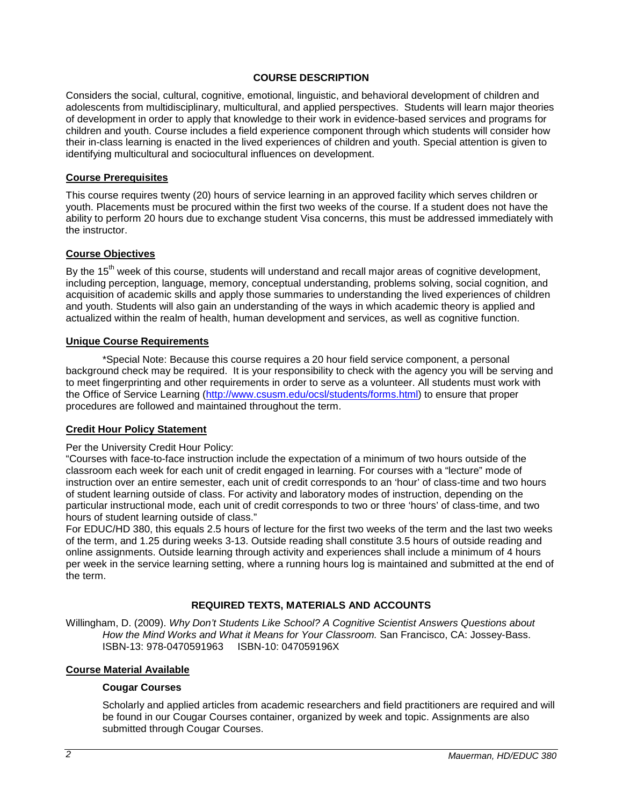### **COURSE DESCRIPTION**

Considers the social, cultural, cognitive, emotional, linguistic, and behavioral development of children and adolescents from multidisciplinary, multicultural, and applied perspectives. Students will learn major theories of development in order to apply that knowledge to their work in evidence-based services and programs for children and youth. Course includes a field experience component through which students will consider how their in-class learning is enacted in the lived experiences of children and youth. Special attention is given to identifying multicultural and sociocultural influences on development.

#### **Course Prerequisites**

This course requires twenty (20) hours of service learning in an approved facility which serves children or youth. Placements must be procured within the first two weeks of the course. If a student does not have the ability to perform 20 hours due to exchange student Visa concerns, this must be addressed immediately with the instructor.

#### **Course Objectives**

By the 15<sup>th</sup> week of this course, students will understand and recall major areas of cognitive development, including perception, language, memory, conceptual understanding, problems solving, social cognition, and acquisition of academic skills and apply those summaries to understanding the lived experiences of children and youth. Students will also gain an understanding of the ways in which academic theory is applied and actualized within the realm of health, human development and services, as well as cognitive function.

#### **Unique Course Requirements**

\*Special Note: Because this course requires a 20 hour field service component, a personal background check may be required. It is your responsibility to check with the agency you will be serving and to meet fingerprinting and other requirements in order to serve as a volunteer. All students must work with the Office of Service Learning [\(http://www.csusm.edu/ocsl/students/forms.html\)](http://www.csusm.edu/ocsl/students/forms.html) to ensure that proper procedures are followed and maintained throughout the term.

#### **Credit Hour Policy Statement**

#### Per the University Credit Hour Policy:

"Courses with face-to-face instruction include the expectation of a minimum of two hours outside of the classroom each week for each unit of credit engaged in learning. For courses with a "lecture" mode of instruction over an entire semester, each unit of credit corresponds to an 'hour' of class-time and two hours of student learning outside of class. For activity and laboratory modes of instruction, depending on the particular instructional mode, each unit of credit corresponds to two or three 'hours' of class-time, and two hours of student learning outside of class."

For EDUC/HD 380, this equals 2.5 hours of lecture for the first two weeks of the term and the last two weeks of the term, and 1.25 during weeks 3-13. Outside reading shall constitute 3.5 hours of outside reading and online assignments. Outside learning through activity and experiences shall include a minimum of 4 hours per week in the service learning setting, where a running hours log is maintained and submitted at the end of the term.

#### **REQUIRED TEXTS, MATERIALS AND ACCOUNTS**

Willingham, D. (2009). *Why Don't Students Like School? A Cognitive Scientist Answers Questions about How the Mind Works and What it Means for Your Classroom.* San Francisco, CA: Jossey-Bass. ISBN-13: 978-0470591963 ISBN-10: 047059196X

#### **Course Material Available**

#### **Cougar Courses**

Scholarly and applied articles from academic researchers and field practitioners are required and will be found in our Cougar Courses container, organized by week and topic. Assignments are also submitted through Cougar Courses.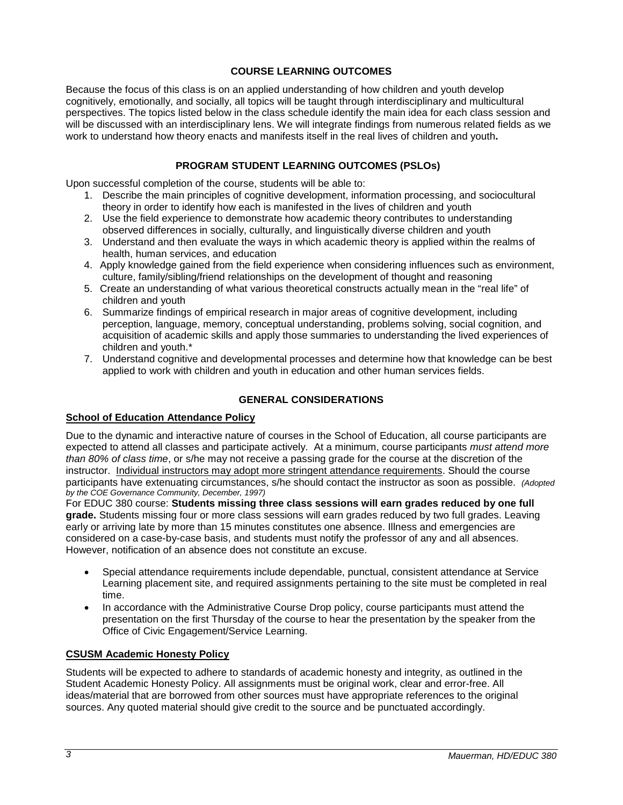## **COURSE LEARNING OUTCOMES**

Because the focus of this class is on an applied understanding of how children and youth develop cognitively, emotionally, and socially, all topics will be taught through interdisciplinary and multicultural perspectives. The topics listed below in the class schedule identify the main idea for each class session and will be discussed with an interdisciplinary lens. We will integrate findings from numerous related fields as we work to understand how theory enacts and manifests itself in the real lives of children and youth**.**

## **PROGRAM STUDENT LEARNING OUTCOMES (PSLOs)**

Upon successful completion of the course, students will be able to:

- 1. Describe the main principles of cognitive development, information processing, and sociocultural theory in order to identify how each is manifested in the lives of children and youth
- 2. Use the field experience to demonstrate how academic theory contributes to understanding observed differences in socially, culturally, and linguistically diverse children and youth
- 3. Understand and then evaluate the ways in which academic theory is applied within the realms of health, human services, and education
- 4. Apply knowledge gained from the field experience when considering influences such as environment, culture, family/sibling/friend relationships on the development of thought and reasoning
- 5. Create an understanding of what various theoretical constructs actually mean in the "real life" of children and youth
- 6. Summarize findings of empirical research in major areas of cognitive development, including perception, language, memory, conceptual understanding, problems solving, social cognition, and acquisition of academic skills and apply those summaries to understanding the lived experiences of children and youth.\*
- 7. Understand cognitive and developmental processes and determine how that knowledge can be best applied to work with children and youth in education and other human services fields.

## **GENERAL CONSIDERATIONS**

## **School of Education Attendance Policy**

Due to the dynamic and interactive nature of courses in the School of Education, all course participants are expected to attend all classes and participate actively. At a minimum, course participants *must attend more than 80% of class time*, or s/he may not receive a passing grade for the course at the discretion of the instructor. Individual instructors may adopt more stringent attendance requirements. Should the course participants have extenuating circumstances, s/he should contact the instructor as soon as possible. *(Adopted by the COE Governance Community, December, 1997)*

For EDUC 380 course: **Students missing three class sessions will earn grades reduced by one full grade.** Students missing four or more class sessions will earn grades reduced by two full grades. Leaving early or arriving late by more than 15 minutes constitutes one absence. Illness and emergencies are considered on a case-by-case basis, and students must notify the professor of any and all absences. However, notification of an absence does not constitute an excuse.

- Special attendance requirements include dependable, punctual, consistent attendance at Service Learning placement site, and required assignments pertaining to the site must be completed in real time.
- In accordance with the Administrative Course Drop policy, course participants must attend the presentation on the first Thursday of the course to hear the presentation by the speaker from the Office of Civic Engagement/Service Learning.

## **CSUSM Academic Honesty Policy**

Students will be expected to adhere to standards of academic honesty and integrity, as outlined in the Student Academic Honesty Policy. All assignments must be original work, clear and error-free. All ideas/material that are borrowed from other sources must have appropriate references to the original sources. Any quoted material should give credit to the source and be punctuated accordingly.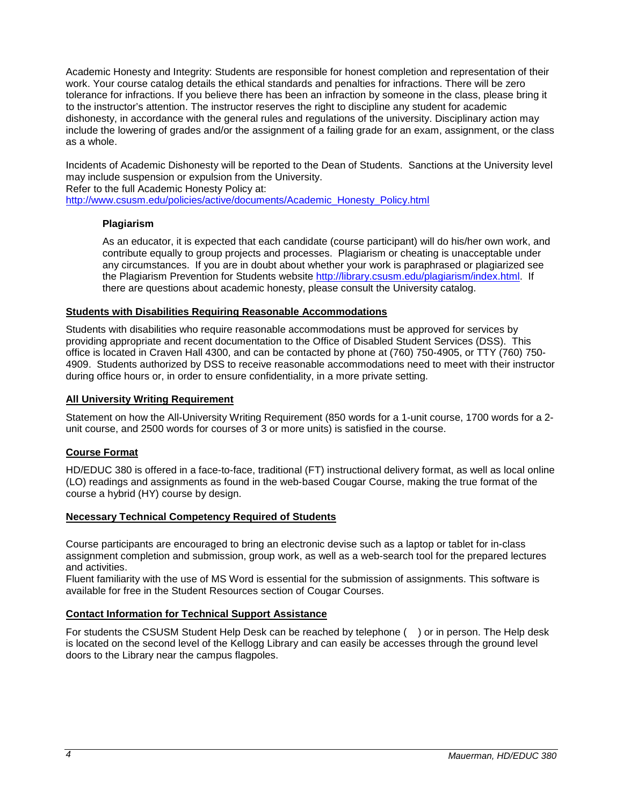Academic Honesty and Integrity: Students are responsible for honest completion and representation of their work. Your course catalog details the ethical standards and penalties for infractions. There will be zero tolerance for infractions. If you believe there has been an infraction by someone in the class, please bring it to the instructor's attention. The instructor reserves the right to discipline any student for academic dishonesty, in accordance with the general rules and regulations of the university. Disciplinary action may include the lowering of grades and/or the assignment of a failing grade for an exam, assignment, or the class as a whole.

Incidents of Academic Dishonesty will be reported to the Dean of Students. Sanctions at the University level may include suspension or expulsion from the University.

Refer to the full Academic Honesty Policy at:

[http://www.csusm.edu/policies/active/documents/Academic\\_Honesty\\_Policy.html](http://www.csusm.edu/policies/active/documents/Academic_Honesty_Policy.html)

### **Plagiarism**

As an educator, it is expected that each candidate (course participant) will do his/her own work, and contribute equally to group projects and processes. Plagiarism or cheating is unacceptable under any circumstances. If you are in doubt about whether your work is paraphrased or plagiarized see the Plagiarism Prevention for Students website [http://library.csusm.edu/plagiarism/index.html.](http://library.csusm.edu/plagiarism/index.html) If there are questions about academic honesty, please consult the University catalog.

#### **Students with Disabilities Requiring Reasonable Accommodations**

Students with disabilities who require reasonable accommodations must be approved for services by providing appropriate and recent documentation to the Office of Disabled Student Services (DSS). This office is located in Craven Hall 4300, and can be contacted by phone at (760) 750-4905, or TTY (760) 750- 4909. Students authorized by DSS to receive reasonable accommodations need to meet with their instructor during office hours or, in order to ensure confidentiality, in a more private setting.

### **All University Writing Requirement**

Statement on how the All-University Writing Requirement (850 words for a 1-unit course, 1700 words for a 2 unit course, and 2500 words for courses of 3 or more units) is satisfied in the course.

#### **Course Format**

HD/EDUC 380 is offered in a face-to-face, traditional (FT) instructional delivery format, as well as local online (LO) readings and assignments as found in the web-based Cougar Course, making the true format of the course a hybrid (HY) course by design.

#### **Necessary Technical Competency Required of Students**

Course participants are encouraged to bring an electronic devise such as a laptop or tablet for in-class assignment completion and submission, group work, as well as a web-search tool for the prepared lectures and activities.

Fluent familiarity with the use of MS Word is essential for the submission of assignments. This software is available for free in the Student Resources section of Cougar Courses.

#### **Contact Information for Technical Support Assistance**

For students the CSUSM Student Help Desk can be reached by telephone ( ) or in person. The Help desk is located on the second level of the Kellogg Library and can easily be accesses through the ground level doors to the Library near the campus flagpoles.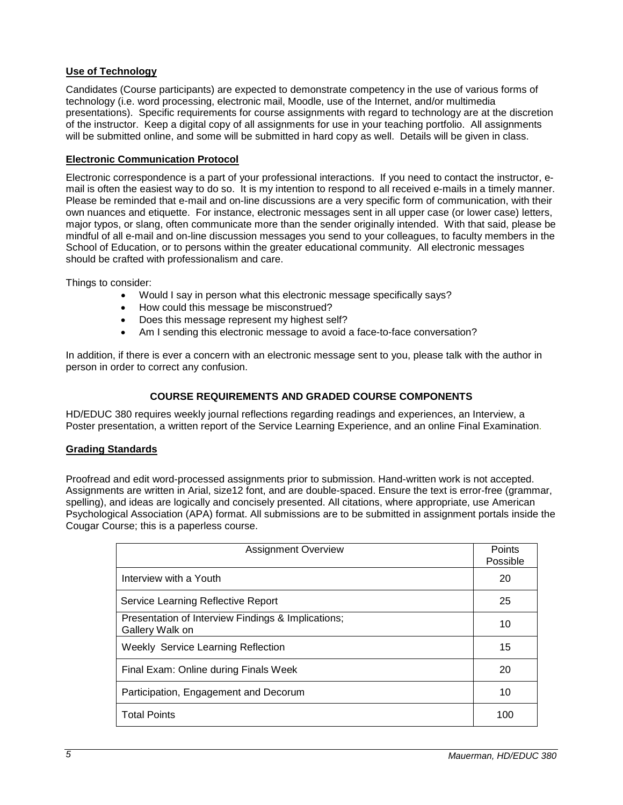## **Use of Technology**

Candidates (Course participants) are expected to demonstrate competency in the use of various forms of technology (i.e. word processing, electronic mail, Moodle, use of the Internet, and/or multimedia presentations). Specific requirements for course assignments with regard to technology are at the discretion of the instructor. Keep a digital copy of all assignments for use in your teaching portfolio. All assignments will be submitted online, and some will be submitted in hard copy as well. Details will be given in class.

## **Electronic Communication Protocol**

Electronic correspondence is a part of your professional interactions. If you need to contact the instructor, email is often the easiest way to do so. It is my intention to respond to all received e-mails in a timely manner. Please be reminded that e-mail and on-line discussions are a very specific form of communication, with their own nuances and etiquette. For instance, electronic messages sent in all upper case (or lower case) letters, major typos, or slang, often communicate more than the sender originally intended. With that said, please be mindful of all e-mail and on-line discussion messages you send to your colleagues, to faculty members in the School of Education, or to persons within the greater educational community. All electronic messages should be crafted with professionalism and care.

Things to consider:

- Would I say in person what this electronic message specifically says?
- How could this message be misconstrued?
- Does this message represent my highest self?
- Am I sending this electronic message to avoid a face-to-face conversation?

In addition, if there is ever a concern with an electronic message sent to you, please talk with the author in person in order to correct any confusion.

## **COURSE REQUIREMENTS AND GRADED COURSE COMPONENTS**

HD/EDUC 380 requires weekly journal reflections regarding readings and experiences, an Interview, a Poster presentation, a written report of the Service Learning Experience, and an online Final Examination.

## **Grading Standards**

Proofread and edit word-processed assignments prior to submission. Hand-written work is not accepted. Assignments are written in Arial, size12 font, and are double-spaced. Ensure the text is error-free (grammar, spelling), and ideas are logically and concisely presented. All citations, where appropriate, use American Psychological Association (APA) format. All submissions are to be submitted in assignment portals inside the Cougar Course; this is a paperless course.

| <b>Assignment Overview</b>                                            |    |
|-----------------------------------------------------------------------|----|
| Interview with a Youth                                                | 20 |
| Service Learning Reflective Report                                    | 25 |
| Presentation of Interview Findings & Implications;<br>Gallery Walk on | 10 |
| <b>Weekly Service Learning Reflection</b>                             | 15 |
| Final Exam: Online during Finals Week                                 | 20 |
| Participation, Engagement and Decorum                                 | 10 |
| <b>Total Points</b>                                                   |    |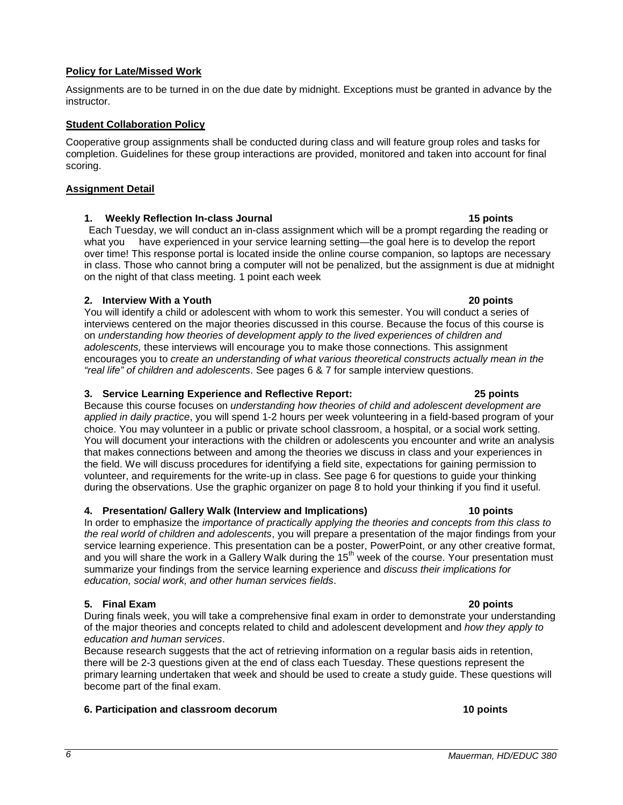## **Policy for Late/Missed Work**

#### Assignments are to be turned in on the due date by midnight. Exceptions must be granted in advance by the instructor.

## **Student Collaboration Policy**

Cooperative group assignments shall be conducted during class and will feature group roles and tasks for completion. Guidelines for these group interactions are provided, monitored and taken into account for final scoring.

## **Assignment Detail**

## **1. Weekly Reflection In-class Journal 15 points**

Each Tuesday, we will conduct an in-class assignment which will be a prompt regarding the reading or what you have experienced in your service learning setting—the goal here is to develop the report over time! This response portal is located inside the online course companion, so laptops are necessary in class. Those who cannot bring a computer will not be penalized, but the assignment is due at midnight on the night of that class meeting. 1 point each week

## **2. Interview With a Youth 20 points**

You will identify a child or adolescent with whom to work this semester. You will conduct a series of interviews centered on the major theories discussed in this course. Because the focus of this course is on *understanding how theories of development apply to the lived experiences of children and adolescents,* these interviews will encourage you to make those connections*.* This assignment encourages you to *create an understanding of what various theoretical constructs actually mean in the "real life" of children and adolescents*. See pages 6 & 7 for sample interview questions.

## **3. Service Learning Experience and Reflective Report: 25 points**

Because this course focuses on *understanding how theories of child and adolescent development are applied in daily practice*, you will spend 1-2 hours per week volunteering in a field-based program of your choice. You may volunteer in a public or private school classroom, a hospital, or a social work setting. You will document your interactions with the children or adolescents you encounter and write an analysis that makes connections between and among the theories we discuss in class and your experiences in the field. We will discuss procedures for identifying a field site, expectations for gaining permission to volunteer, and requirements for the write-up in class. See page 6 for questions to guide your thinking during the observations. Use the graphic organizer on page 8 to hold your thinking if you find it useful.

## **4. Presentation/ Gallery Walk (Interview and Implications) 10 points**

In order to emphasize the *importance of practically applying the theories and concepts from this class to the real world of children and adolescents*, you will prepare a presentation of the major findings from your service learning experience. This presentation can be a poster, PowerPoint, or any other creative format, and you will share the work in a Gallery Walk during the 15<sup>th</sup> week of the course. Your presentation must summarize your findings from the service learning experience and *discuss their implications for education, social work, and other human services fields*.

## **5. Final Exam 20 points**

During finals week, you will take a comprehensive final exam in order to demonstrate your understanding of the major theories and concepts related to child and adolescent development and *how they apply to education and human services*.

Because research suggests that the act of retrieving information on a regular basis aids in retention, there will be 2-3 questions given at the end of class each Tuesday. These questions represent the primary learning undertaken that week and should be used to create a study guide. These questions will become part of the final exam.

## **6. Participation and classroom decorum 10 points**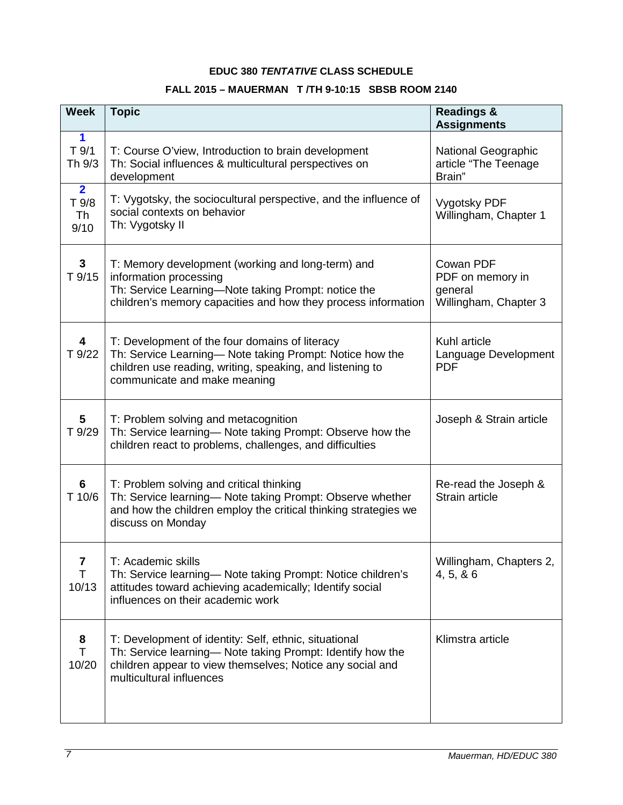## **EDUC 380** *TENTATIVE* **CLASS SCHEDULE**

# **FALL 2015 – MAUERMAN T /TH 9-10:15 SBSB ROOM 2140**

| <b>Week</b>                                  | <b>Topic</b>                                                                                                                                                                                                 | <b>Readings &amp;</b><br><b>Assignments</b>                       |
|----------------------------------------------|--------------------------------------------------------------------------------------------------------------------------------------------------------------------------------------------------------------|-------------------------------------------------------------------|
| 1<br>$T$ 9/1<br>Th 9/3                       | T: Course O'view, Introduction to brain development<br>Th: Social influences & multicultural perspectives on<br>development                                                                                  | National Geographic<br>article "The Teenage<br>Brain"             |
| $\overline{2}$<br>T 9/8<br><b>Th</b><br>9/10 | T: Vygotsky, the sociocultural perspective, and the influence of<br>social contexts on behavior<br>Th: Vygotsky II                                                                                           | Vygotsky PDF<br>Willingham, Chapter 1                             |
| $\mathbf{3}$<br>T 9/15                       | T: Memory development (working and long-term) and<br>information processing<br>Th: Service Learning-Note taking Prompt: notice the<br>children's memory capacities and how they process information          | Cowan PDF<br>PDF on memory in<br>general<br>Willingham, Chapter 3 |
| $\overline{\mathbf{4}}$<br>T 9/22            | T: Development of the four domains of literacy<br>Th: Service Learning- Note taking Prompt: Notice how the<br>children use reading, writing, speaking, and listening to<br>communicate and make meaning      | Kuhl article<br>Language Development<br><b>PDF</b>                |
| 5<br>T 9/29                                  | T: Problem solving and metacognition<br>Th: Service learning- Note taking Prompt: Observe how the<br>children react to problems, challenges, and difficulties                                                | Joseph & Strain article                                           |
| 6<br>T 10/6                                  | T: Problem solving and critical thinking<br>Th: Service learning- Note taking Prompt: Observe whether<br>and how the children employ the critical thinking strategies we<br>discuss on Monday                | Re-read the Joseph &<br>Strain article                            |
| 7<br>T.<br>10/13                             | T: Academic skills<br>Th: Service learning- Note taking Prompt: Notice children's<br>attitudes toward achieving academically; Identify social<br>influences on their academic work                           | Willingham, Chapters 2,<br>4, 5, 86                               |
| 8<br>T.<br>10/20                             | T: Development of identity: Self, ethnic, situational<br>Th: Service learning- Note taking Prompt: Identify how the<br>children appear to view themselves; Notice any social and<br>multicultural influences | Klimstra article                                                  |